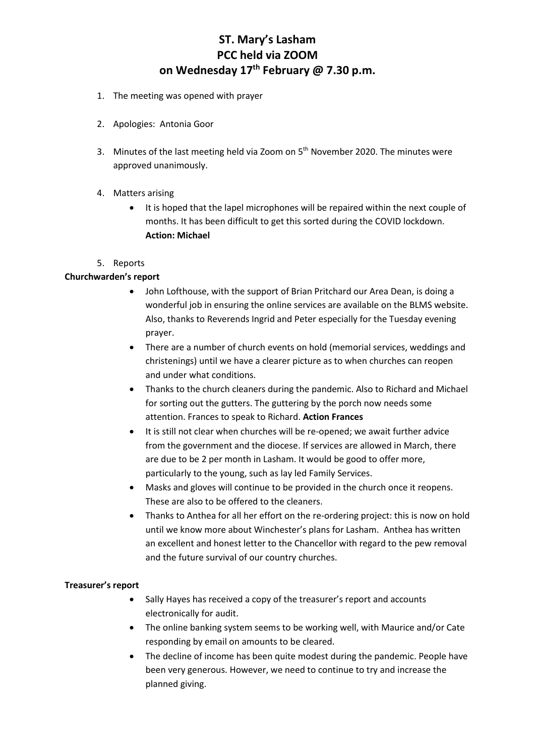# **ST. Mary's Lasham PCC held via ZOOM on Wednesday 17th February @ 7.30 p.m.**

- 1. The meeting was opened with prayer
- 2. Apologies: Antonia Goor
- 3. Minutes of the last meeting held via Zoom on  $5<sup>th</sup>$  November 2020. The minutes were approved unanimously.
- 4. Matters arising
	- It is hoped that the lapel microphones will be repaired within the next couple of months. It has been difficult to get this sorted during the COVID lockdown. **Action: Michael**
- 5. Reports

#### **Churchwarden's report**

- John Lofthouse, with the support of Brian Pritchard our Area Dean, is doing a wonderful job in ensuring the online services are available on the BLMS website. Also, thanks to Reverends Ingrid and Peter especially for the Tuesday evening prayer.
- There are a number of church events on hold (memorial services, weddings and christenings) until we have a clearer picture as to when churches can reopen and under what conditions.
- Thanks to the church cleaners during the pandemic. Also to Richard and Michael for sorting out the gutters. The guttering by the porch now needs some attention. Frances to speak to Richard. **Action Frances**
- It is still not clear when churches will be re-opened; we await further advice from the government and the diocese. If services are allowed in March, there are due to be 2 per month in Lasham. It would be good to offer more, particularly to the young, such as lay led Family Services.
- Masks and gloves will continue to be provided in the church once it reopens. These are also to be offered to the cleaners.
- Thanks to Anthea for all her effort on the re-ordering project: this is now on hold until we know more about Winchester's plans for Lasham. Anthea has written an excellent and honest letter to the Chancellor with regard to the pew removal and the future survival of our country churches.

### **Treasurer's report**

- Sally Hayes has received a copy of the treasurer's report and accounts electronically for audit.
- The online banking system seems to be working well, with Maurice and/or Cate responding by email on amounts to be cleared.
- The decline of income has been quite modest during the pandemic. People have been very generous. However, we need to continue to try and increase the planned giving.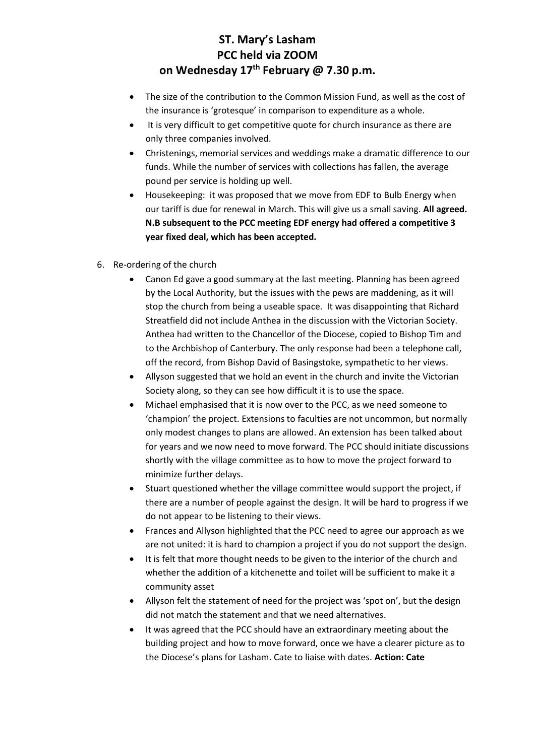### **ST. Mary's Lasham PCC held via ZOOM on Wednesday 17th February @ 7.30 p.m.**

- The size of the contribution to the Common Mission Fund, as well as the cost of the insurance is 'grotesque' in comparison to expenditure as a whole.
- It is very difficult to get competitive quote for church insurance as there are only three companies involved.
- Christenings, memorial services and weddings make a dramatic difference to our funds. While the number of services with collections has fallen, the average pound per service is holding up well.
- Housekeeping: it was proposed that we move from EDF to Bulb Energy when our tariff is due for renewal in March. This will give us a small saving. **All agreed. N.B subsequent to the PCC meeting EDF energy had offered a competitive 3 year fixed deal, which has been accepted.**
- 6. Re-ordering of the church
	- Canon Ed gave a good summary at the last meeting. Planning has been agreed by the Local Authority, but the issues with the pews are maddening, as it will stop the church from being a useable space. It was disappointing that Richard Streatfield did not include Anthea in the discussion with the Victorian Society. Anthea had written to the Chancellor of the Diocese, copied to Bishop Tim and to the Archbishop of Canterbury. The only response had been a telephone call, off the record, from Bishop David of Basingstoke, sympathetic to her views.
	- Allyson suggested that we hold an event in the church and invite the Victorian Society along, so they can see how difficult it is to use the space.
	- Michael emphasised that it is now over to the PCC, as we need someone to 'champion' the project. Extensions to faculties are not uncommon, but normally only modest changes to plans are allowed. An extension has been talked about for years and we now need to move forward. The PCC should initiate discussions shortly with the village committee as to how to move the project forward to minimize further delays.
	- Stuart questioned whether the village committee would support the project, if there are a number of people against the design. It will be hard to progress if we do not appear to be listening to their views.
	- Frances and Allyson highlighted that the PCC need to agree our approach as we are not united: it is hard to champion a project if you do not support the design.
	- It is felt that more thought needs to be given to the interior of the church and whether the addition of a kitchenette and toilet will be sufficient to make it a community asset
	- Allyson felt the statement of need for the project was 'spot on', but the design did not match the statement and that we need alternatives.
	- It was agreed that the PCC should have an extraordinary meeting about the building project and how to move forward, once we have a clearer picture as to the Diocese's plans for Lasham. Cate to liaise with dates. **Action: Cate**